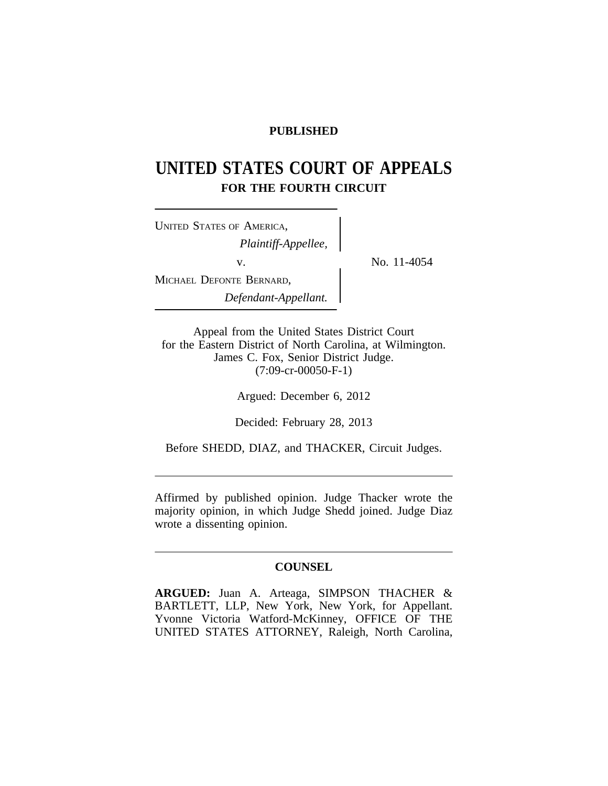# **PUBLISHED**

# **UNITED STATES COURT OF APPEALS FOR THE FOURTH CIRCUIT**

<sup>U</sup>NITED STATES OF AMERICA, *Plaintiff-Appellee,* v.  $\qquad \qquad \sum_{N=1}^{N} N_0$ . 11-4054 MICHAEL DEFONTE BERNARD, *Defendant-Appellant.*

Appeal from the United States District Court for the Eastern District of North Carolina, at Wilmington. James C. Fox, Senior District Judge. (7:09-cr-00050-F-1)

Argued: December 6, 2012

Decided: February 28, 2013

Before SHEDD, DIAZ, and THACKER, Circuit Judges.

Affirmed by published opinion. Judge Thacker wrote the majority opinion, in which Judge Shedd joined. Judge Diaz wrote a dissenting opinion.

### **COUNSEL**

**ARGUED:** Juan A. Arteaga, SIMPSON THACHER & BARTLETT, LLP, New York, New York, for Appellant. Yvonne Victoria Watford-McKinney, OFFICE OF THE UNITED STATES ATTORNEY, Raleigh, North Carolina,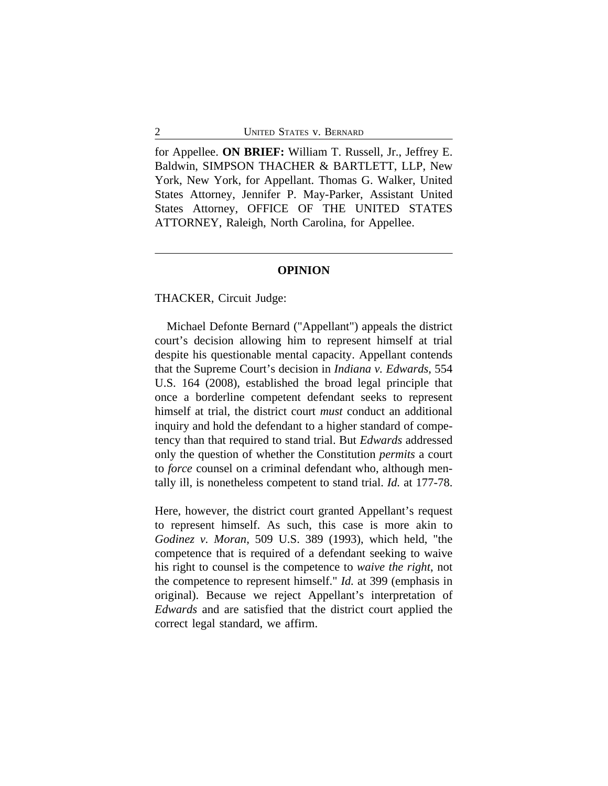for Appellee. **ON BRIEF:** William T. Russell, Jr., Jeffrey E. Baldwin, SIMPSON THACHER & BARTLETT, LLP, New York, New York, for Appellant. Thomas G. Walker, United States Attorney, Jennifer P. May-Parker, Assistant United States Attorney, OFFICE OF THE UNITED STATES ATTORNEY, Raleigh, North Carolina, for Appellee.

#### **OPINION**

THACKER, Circuit Judge:

Michael Defonte Bernard ("Appellant") appeals the district court's decision allowing him to represent himself at trial despite his questionable mental capacity. Appellant contends that the Supreme Court's decision in *Indiana v. Edwards*, 554 U.S. 164 (2008), established the broad legal principle that once a borderline competent defendant seeks to represent himself at trial, the district court *must* conduct an additional inquiry and hold the defendant to a higher standard of competency than that required to stand trial. But *Edwards* addressed only the question of whether the Constitution *permits* a court to *force* counsel on a criminal defendant who, although mentally ill, is nonetheless competent to stand trial. *Id.* at 177-78.

Here, however, the district court granted Appellant's request to represent himself. As such, this case is more akin to *Godinez v. Moran*, 509 U.S. 389 (1993), which held, "the competence that is required of a defendant seeking to waive his right to counsel is the competence to *waive the right*, not the competence to represent himself." *Id.* at 399 (emphasis in original). Because we reject Appellant's interpretation of *Edwards* and are satisfied that the district court applied the correct legal standard, we affirm.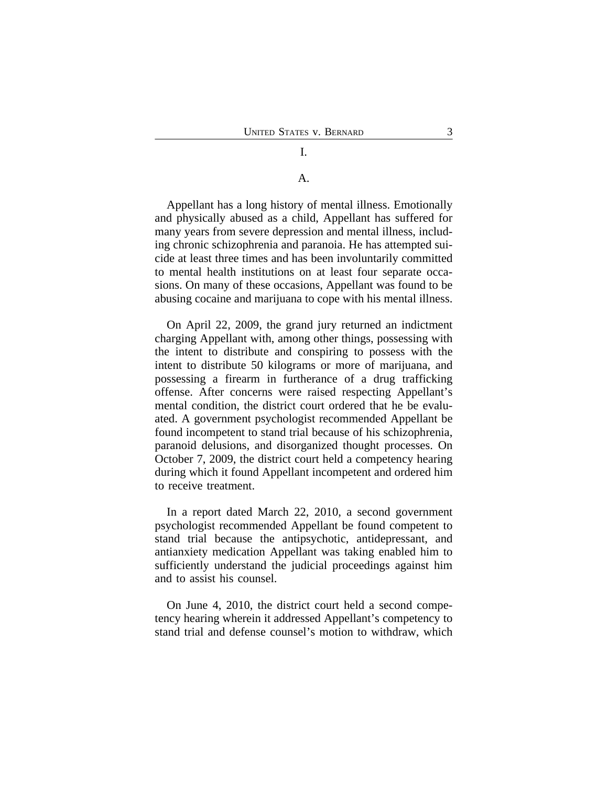# I.

## A.

Appellant has a long history of mental illness. Emotionally and physically abused as a child, Appellant has suffered for many years from severe depression and mental illness, including chronic schizophrenia and paranoia. He has attempted suicide at least three times and has been involuntarily committed to mental health institutions on at least four separate occasions. On many of these occasions, Appellant was found to be abusing cocaine and marijuana to cope with his mental illness.

On April 22, 2009, the grand jury returned an indictment charging Appellant with, among other things, possessing with the intent to distribute and conspiring to possess with the intent to distribute 50 kilograms or more of marijuana, and possessing a firearm in furtherance of a drug trafficking offense. After concerns were raised respecting Appellant's mental condition, the district court ordered that he be evaluated. A government psychologist recommended Appellant be found incompetent to stand trial because of his schizophrenia, paranoid delusions, and disorganized thought processes. On October 7, 2009, the district court held a competency hearing during which it found Appellant incompetent and ordered him to receive treatment.

In a report dated March 22, 2010, a second government psychologist recommended Appellant be found competent to stand trial because the antipsychotic, antidepressant, and antianxiety medication Appellant was taking enabled him to sufficiently understand the judicial proceedings against him and to assist his counsel.

On June 4, 2010, the district court held a second competency hearing wherein it addressed Appellant's competency to stand trial and defense counsel's motion to withdraw, which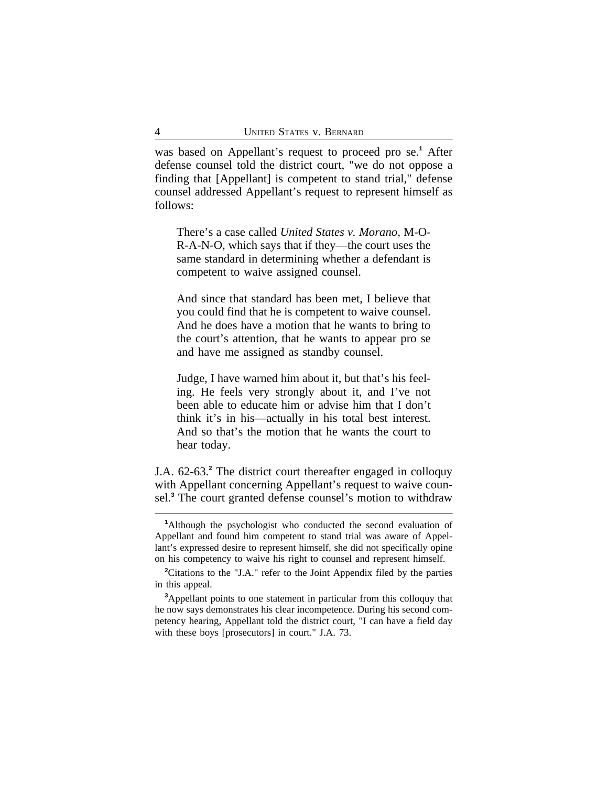was based on Appellant's request to proceed pro se.**<sup>1</sup>** After defense counsel told the district court, "we do not oppose a finding that [Appellant] is competent to stand trial," defense counsel addressed Appellant's request to represent himself as follows:

There's a case called *United States v. Morano*, M-O-R-A-N-O, which says that if they—the court uses the same standard in determining whether a defendant is competent to waive assigned counsel.

And since that standard has been met, I believe that you could find that he is competent to waive counsel. And he does have a motion that he wants to bring to the court's attention, that he wants to appear pro se and have me assigned as standby counsel.

Judge, I have warned him about it, but that's his feeling. He feels very strongly about it, and I've not been able to educate him or advise him that I don't think it's in his—actually in his total best interest. And so that's the motion that he wants the court to hear today.

J.A. 62-63.**<sup>2</sup>** The district court thereafter engaged in colloquy with Appellant concerning Appellant's request to waive counsel.**<sup>3</sup>** The court granted defense counsel's motion to withdraw

**<sup>1</sup>**Although the psychologist who conducted the second evaluation of Appellant and found him competent to stand trial was aware of Appellant's expressed desire to represent himself, she did not specifically opine on his competency to waive his right to counsel and represent himself.

<sup>&</sup>lt;sup>2</sup>Citations to the "J.A." refer to the Joint Appendix filed by the parties in this appeal.

**<sup>3</sup>**Appellant points to one statement in particular from this colloquy that he now says demonstrates his clear incompetence. During his second competency hearing, Appellant told the district court, "I can have a field day with these boys [prosecutors] in court." J.A. 73.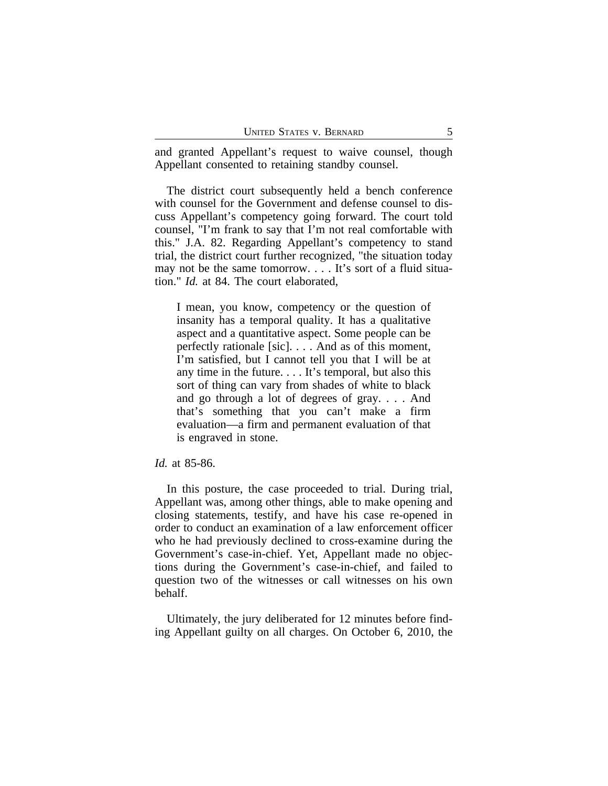and granted Appellant's request to waive counsel, though Appellant consented to retaining standby counsel.

The district court subsequently held a bench conference with counsel for the Government and defense counsel to discuss Appellant's competency going forward. The court told counsel, "I'm frank to say that I'm not real comfortable with this." J.A. 82. Regarding Appellant's competency to stand trial, the district court further recognized, "the situation today may not be the same tomorrow. . . . It's sort of a fluid situation." *Id.* at 84. The court elaborated,

I mean, you know, competency or the question of insanity has a temporal quality. It has a qualitative aspect and a quantitative aspect. Some people can be perfectly rationale [sic]. . . . And as of this moment, I'm satisfied, but I cannot tell you that I will be at any time in the future. . . . It's temporal, but also this sort of thing can vary from shades of white to black and go through a lot of degrees of gray. . . . And that's something that you can't make a firm evaluation—a firm and permanent evaluation of that is engraved in stone.

#### *Id.* at 85-86.

In this posture, the case proceeded to trial. During trial, Appellant was, among other things, able to make opening and closing statements, testify, and have his case re-opened in order to conduct an examination of a law enforcement officer who he had previously declined to cross-examine during the Government's case-in-chief. Yet, Appellant made no objections during the Government's case-in-chief, and failed to question two of the witnesses or call witnesses on his own behalf.

Ultimately, the jury deliberated for 12 minutes before finding Appellant guilty on all charges. On October 6, 2010, the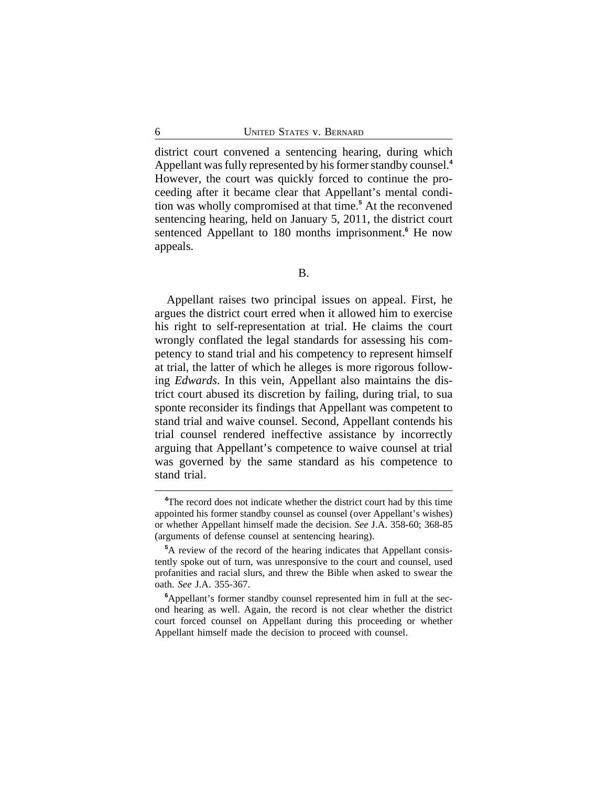district court convened a sentencing hearing, during which Appellant was fully represented by his former standby counsel.**<sup>4</sup>** However, the court was quickly forced to continue the proceeding after it became clear that Appellant's mental condition was wholly compromised at that time.**<sup>5</sup>** At the reconvened sentencing hearing, held on January 5, 2011, the district court sentenced Appellant to 180 months imprisonment.<sup>6</sup> He now appeals.

Appellant raises two principal issues on appeal. First, he argues the district court erred when it allowed him to exercise his right to self-representation at trial. He claims the court wrongly conflated the legal standards for assessing his competency to stand trial and his competency to represent himself at trial, the latter of which he alleges is more rigorous following *Edwards*. In this vein, Appellant also maintains the district court abused its discretion by failing, during trial, to sua sponte reconsider its findings that Appellant was competent to stand trial and waive counsel. Second, Appellant contends his trial counsel rendered ineffective assistance by incorrectly arguing that Appellant's competence to waive counsel at trial was governed by the same standard as his competence to stand trial.

**<sup>4</sup>**The record does not indicate whether the district court had by this time appointed his former standby counsel as counsel (over Appellant's wishes) or whether Appellant himself made the decision. *See* J.A. 358-60; 368-85 (arguments of defense counsel at sentencing hearing).

**<sup>5</sup>**A review of the record of the hearing indicates that Appellant consistently spoke out of turn, was unresponsive to the court and counsel, used profanities and racial slurs, and threw the Bible when asked to swear the oath. *See* J.A. 355-367.

**<sup>6</sup>**Appellant's former standby counsel represented him in full at the second hearing as well. Again, the record is not clear whether the district court forced counsel on Appellant during this proceeding or whether Appellant himself made the decision to proceed with counsel.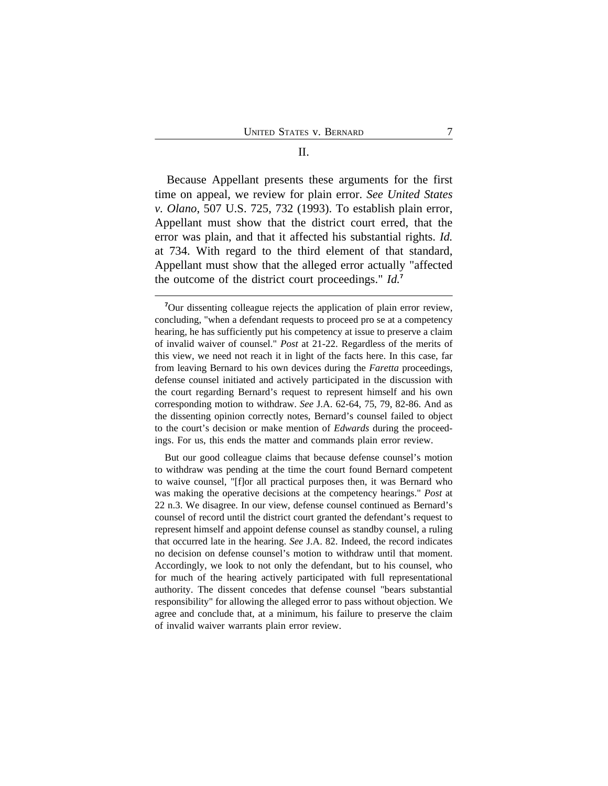Because Appellant presents these arguments for the first time on appeal, we review for plain error. *See United States v. Olano*, 507 U.S. 725, 732 (1993). To establish plain error, Appellant must show that the district court erred, that the error was plain, and that it affected his substantial rights. *Id.* at 734. With regard to the third element of that standard, Appellant must show that the alleged error actually "affected the outcome of the district court proceedings." *Id.***<sup>7</sup>**

But our good colleague claims that because defense counsel's motion to withdraw was pending at the time the court found Bernard competent to waive counsel, "[f]or all practical purposes then, it was Bernard who was making the operative decisions at the competency hearings." *Post* at 22 n.3. We disagree. In our view, defense counsel continued as Bernard's counsel of record until the district court granted the defendant's request to represent himself and appoint defense counsel as standby counsel, a ruling that occurred late in the hearing. *See* J.A. 82. Indeed, the record indicates no decision on defense counsel's motion to withdraw until that moment. Accordingly, we look to not only the defendant, but to his counsel, who for much of the hearing actively participated with full representational authority. The dissent concedes that defense counsel "bears substantial responsibility" for allowing the alleged error to pass without objection. We agree and conclude that, at a minimum, his failure to preserve the claim of invalid waiver warrants plain error review.

**<sup>7</sup>**Our dissenting colleague rejects the application of plain error review, concluding, "when a defendant requests to proceed pro se at a competency hearing, he has sufficiently put his competency at issue to preserve a claim of invalid waiver of counsel." *Post* at 21-22. Regardless of the merits of this view, we need not reach it in light of the facts here. In this case, far from leaving Bernard to his own devices during the *Faretta* proceedings, defense counsel initiated and actively participated in the discussion with the court regarding Bernard's request to represent himself and his own corresponding motion to withdraw. *See* J.A. 62-64, 75, 79, 82-86. And as the dissenting opinion correctly notes, Bernard's counsel failed to object to the court's decision or make mention of *Edwards* during the proceedings. For us, this ends the matter and commands plain error review.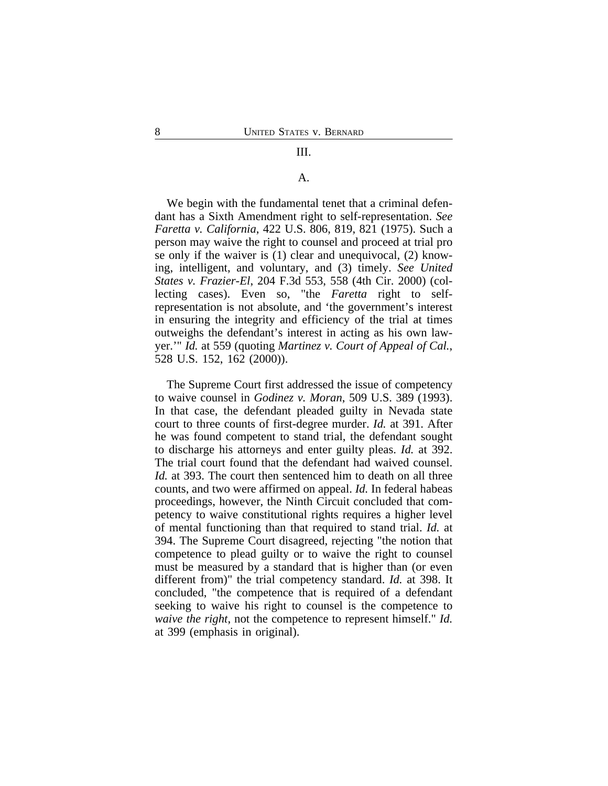#### III.

#### A.

We begin with the fundamental tenet that a criminal defendant has a Sixth Amendment right to self-representation. *See Faretta v. California*, 422 U.S. 806, 819, 821 (1975). Such a person may waive the right to counsel and proceed at trial pro se only if the waiver is (1) clear and unequivocal, (2) knowing, intelligent, and voluntary, and (3) timely. *See United States v. Frazier-El*, 204 F.3d 553, 558 (4th Cir. 2000) (collecting cases). Even so, "the *Faretta* right to selfrepresentation is not absolute, and 'the government's interest in ensuring the integrity and efficiency of the trial at times outweighs the defendant's interest in acting as his own lawyer.'" *Id.* at 559 (quoting *Martinez v. Court of Appeal of Cal.*, 528 U.S. 152, 162 (2000)).

The Supreme Court first addressed the issue of competency to waive counsel in *Godinez v. Moran*, 509 U.S. 389 (1993). In that case, the defendant pleaded guilty in Nevada state court to three counts of first-degree murder. *Id.* at 391. After he was found competent to stand trial, the defendant sought to discharge his attorneys and enter guilty pleas. *Id.* at 392. The trial court found that the defendant had waived counsel. *Id.* at 393. The court then sentenced him to death on all three counts, and two were affirmed on appeal. *Id.* In federal habeas proceedings, however, the Ninth Circuit concluded that competency to waive constitutional rights requires a higher level of mental functioning than that required to stand trial. *Id.* at 394. The Supreme Court disagreed, rejecting "the notion that competence to plead guilty or to waive the right to counsel must be measured by a standard that is higher than (or even different from)" the trial competency standard. *Id.* at 398. It concluded, "the competence that is required of a defendant seeking to waive his right to counsel is the competence to *waive the right*, not the competence to represent himself." *Id.* at 399 (emphasis in original).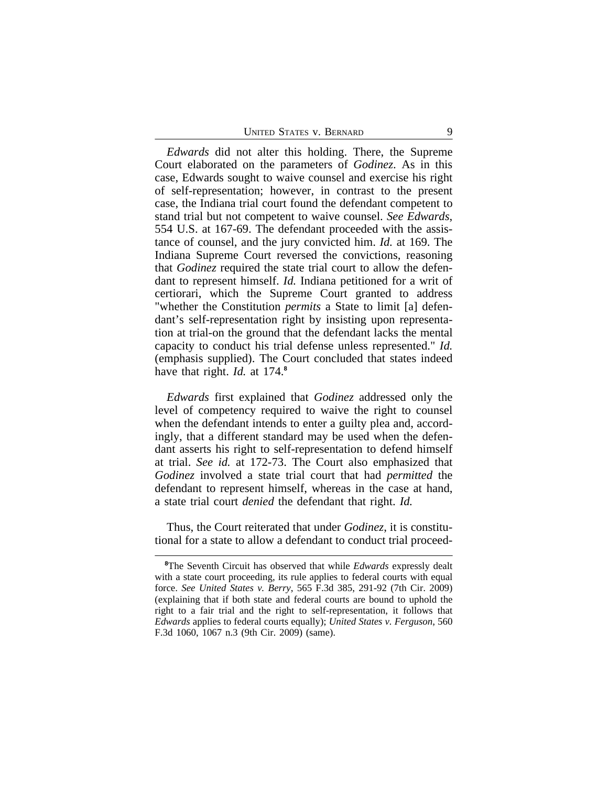*Edwards* did not alter this holding. There, the Supreme Court elaborated on the parameters of *Godinez*. As in this case, Edwards sought to waive counsel and exercise his right of self-representation; however, in contrast to the present case, the Indiana trial court found the defendant competent to stand trial but not competent to waive counsel. *See Edwards*, 554 U.S. at 167-69. The defendant proceeded with the assistance of counsel, and the jury convicted him. *Id.* at 169. The Indiana Supreme Court reversed the convictions, reasoning that *Godinez* required the state trial court to allow the defendant to represent himself. *Id.* Indiana petitioned for a writ of certiorari, which the Supreme Court granted to address "whether the Constitution *permits* a State to limit [a] defendant's self-representation right by insisting upon representation at trial-on the ground that the defendant lacks the mental capacity to conduct his trial defense unless represented." *Id.* (emphasis supplied). The Court concluded that states indeed have that right. *Id.* at 174.**<sup>8</sup>**

*Edwards* first explained that *Godinez* addressed only the level of competency required to waive the right to counsel when the defendant intends to enter a guilty plea and, accordingly, that a different standard may be used when the defendant asserts his right to self-representation to defend himself at trial. *See id.* at 172-73. The Court also emphasized that *Godinez* involved a state trial court that had *permitted* the defendant to represent himself, whereas in the case at hand, a state trial court *denied* the defendant that right. *Id.*

Thus, the Court reiterated that under *Godinez*, it is constitutional for a state to allow a defendant to conduct trial proceed-

**<sup>8</sup>**The Seventh Circuit has observed that while *Edwards* expressly dealt with a state court proceeding, its rule applies to federal courts with equal force. *See United States v. Berry*, 565 F.3d 385, 291-92 (7th Cir. 2009) (explaining that if both state and federal courts are bound to uphold the right to a fair trial and the right to self-representation, it follows that *Edwards* applies to federal courts equally); *United States v. Ferguson*, 560 F.3d 1060, 1067 n.3 (9th Cir. 2009) (same).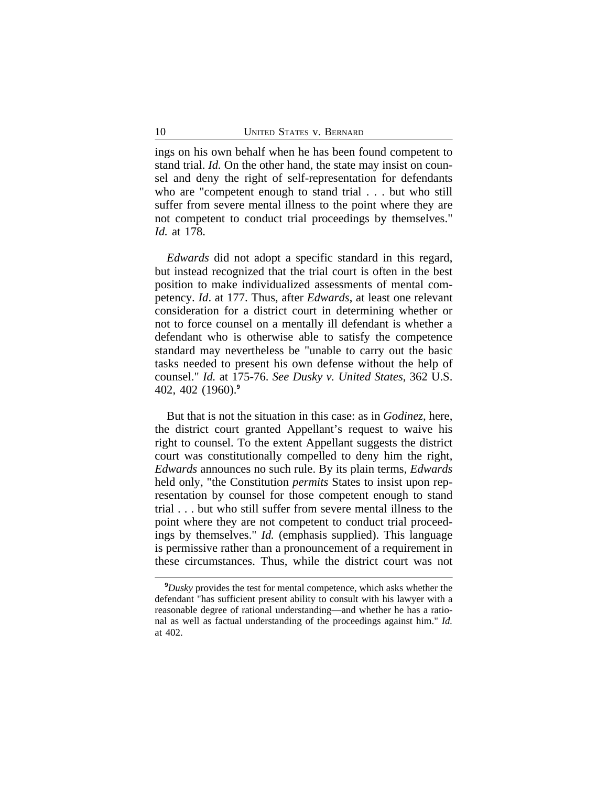ings on his own behalf when he has been found competent to stand trial. *Id.* On the other hand, the state may insist on counsel and deny the right of self-representation for defendants who are "competent enough to stand trial . . . but who still suffer from severe mental illness to the point where they are not competent to conduct trial proceedings by themselves." *Id.* at 178.

*Edwards* did not adopt a specific standard in this regard, but instead recognized that the trial court is often in the best position to make individualized assessments of mental competency. *Id*. at 177. Thus, after *Edwards*, at least one relevant consideration for a district court in determining whether or not to force counsel on a mentally ill defendant is whether a defendant who is otherwise able to satisfy the competence standard may nevertheless be "unable to carry out the basic tasks needed to present his own defense without the help of counsel." *Id.* at 175-76. *See Dusky v. United States*, 362 U.S. 402, 402 (1960).**<sup>9</sup>**

But that is not the situation in this case: as in *Godinez*, here, the district court granted Appellant's request to waive his right to counsel. To the extent Appellant suggests the district court was constitutionally compelled to deny him the right, *Edwards* announces no such rule. By its plain terms, *Edwards* held only, "the Constitution *permits* States to insist upon representation by counsel for those competent enough to stand trial . . . but who still suffer from severe mental illness to the point where they are not competent to conduct trial proceedings by themselves." *Id.* (emphasis supplied). This language is permissive rather than a pronouncement of a requirement in these circumstances. Thus, while the district court was not

**<sup>9</sup>***Dusky* provides the test for mental competence, which asks whether the defendant "has sufficient present ability to consult with his lawyer with a reasonable degree of rational understanding—and whether he has a rational as well as factual understanding of the proceedings against him." *Id.* at 402.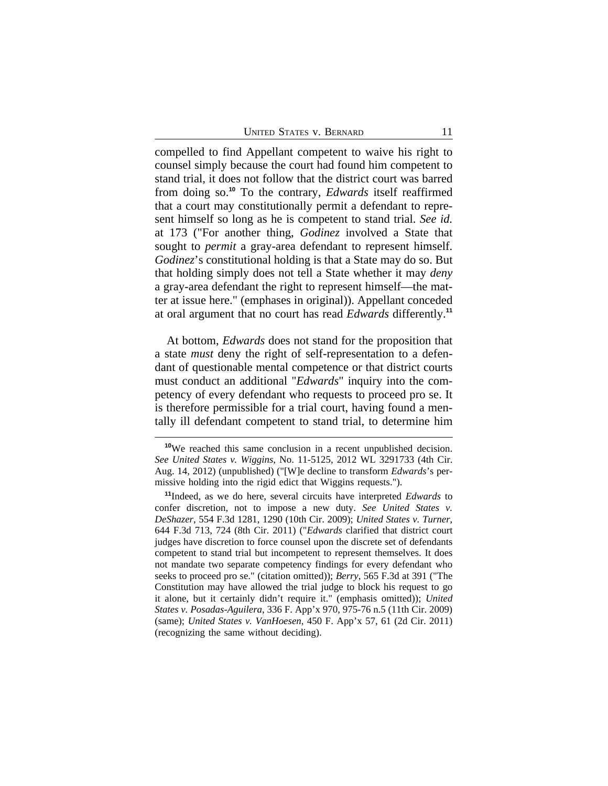compelled to find Appellant competent to waive his right to counsel simply because the court had found him competent to stand trial, it does not follow that the district court was barred from doing so.**<sup>10</sup>** To the contrary, *Edwards* itself reaffirmed that a court may constitutionally permit a defendant to represent himself so long as he is competent to stand trial. *See id.* at 173 ("For another thing, *Godinez* involved a State that sought to *permit* a gray-area defendant to represent himself. *Godinez*'s constitutional holding is that a State may do so. But that holding simply does not tell a State whether it may *deny* a gray-area defendant the right to represent himself—the matter at issue here." (emphases in original)). Appellant conceded at oral argument that no court has read *Edwards* differently.**<sup>11</sup>**

At bottom, *Edwards* does not stand for the proposition that a state *must* deny the right of self-representation to a defendant of questionable mental competence or that district courts must conduct an additional "*Edwards*" inquiry into the competency of every defendant who requests to proceed pro se. It is therefore permissible for a trial court, having found a mentally ill defendant competent to stand trial, to determine him

**<sup>10</sup>**We reached this same conclusion in a recent unpublished decision. *See United States v. Wiggins*, No. 11-5125, 2012 WL 3291733 (4th Cir. Aug. 14, 2012) (unpublished) ("[W]e decline to transform *Edwards*'s permissive holding into the rigid edict that Wiggins requests.").

**<sup>11</sup>**Indeed, as we do here, several circuits have interpreted *Edwards* to confer discretion, not to impose a new duty. *See United States v. DeShazer*, 554 F.3d 1281, 1290 (10th Cir. 2009); *United States v. Turner*, 644 F.3d 713, 724 (8th Cir. 2011) ("*Edwards* clarified that district court judges have discretion to force counsel upon the discrete set of defendants competent to stand trial but incompetent to represent themselves. It does not mandate two separate competency findings for every defendant who seeks to proceed pro se." (citation omitted)); *Berry*, 565 F.3d at 391 ("The Constitution may have allowed the trial judge to block his request to go it alone, but it certainly didn't require it." (emphasis omitted)); *United States v. Posadas-Aguilera*, 336 F. App'x 970, 975-76 n.5 (11th Cir. 2009) (same); *United States v. VanHoesen*, 450 F. App'x 57, 61 (2d Cir. 2011) (recognizing the same without deciding).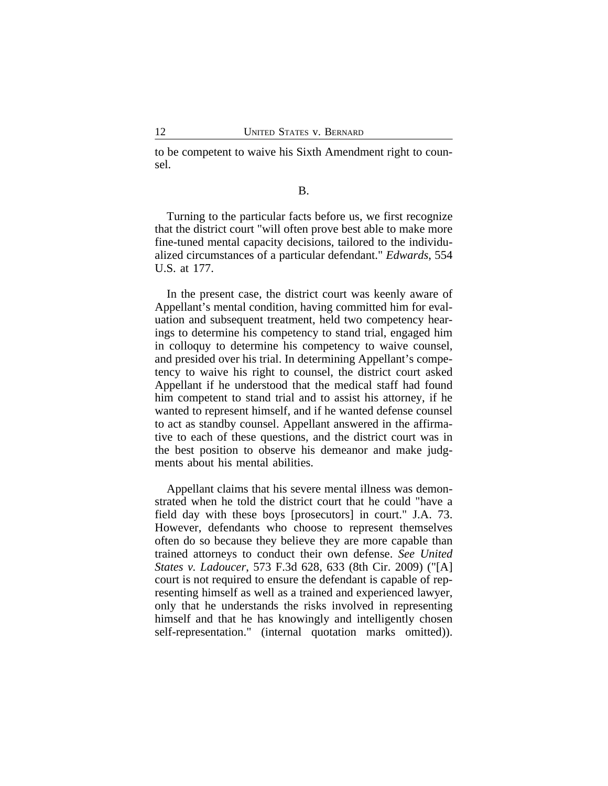to be competent to waive his Sixth Amendment right to counsel.

#### B.

Turning to the particular facts before us, we first recognize that the district court "will often prove best able to make more fine-tuned mental capacity decisions, tailored to the individualized circumstances of a particular defendant." *Edwards*, 554 U.S. at 177.

In the present case, the district court was keenly aware of Appellant's mental condition, having committed him for evaluation and subsequent treatment, held two competency hearings to determine his competency to stand trial, engaged him in colloquy to determine his competency to waive counsel, and presided over his trial. In determining Appellant's competency to waive his right to counsel, the district court asked Appellant if he understood that the medical staff had found him competent to stand trial and to assist his attorney, if he wanted to represent himself, and if he wanted defense counsel to act as standby counsel. Appellant answered in the affirmative to each of these questions, and the district court was in the best position to observe his demeanor and make judgments about his mental abilities.

Appellant claims that his severe mental illness was demonstrated when he told the district court that he could "have a field day with these boys [prosecutors] in court." J.A. 73. However, defendants who choose to represent themselves often do so because they believe they are more capable than trained attorneys to conduct their own defense. *See United States v. Ladoucer*, 573 F.3d 628, 633 (8th Cir. 2009) ("[A] court is not required to ensure the defendant is capable of representing himself as well as a trained and experienced lawyer, only that he understands the risks involved in representing himself and that he has knowingly and intelligently chosen self-representation." (internal quotation marks omitted)).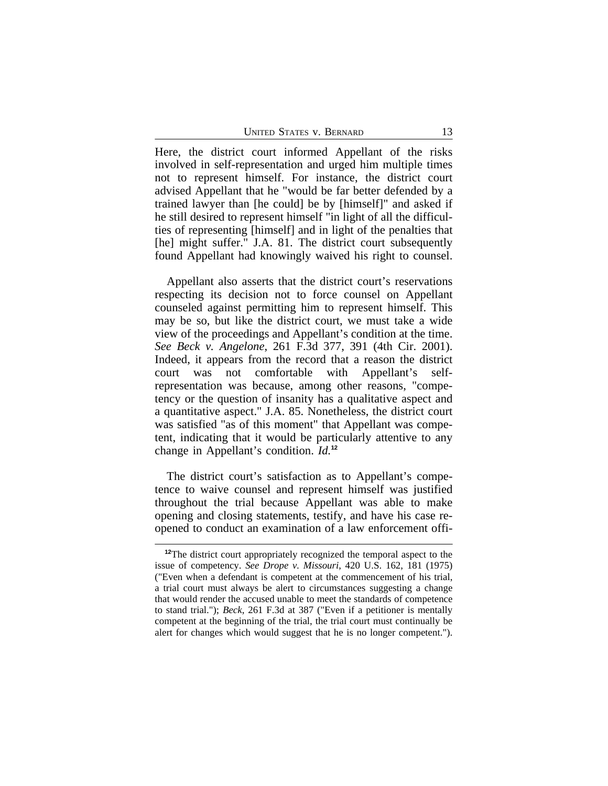UNITED STATES V. BERNARD 13

Here, the district court informed Appellant of the risks involved in self-representation and urged him multiple times not to represent himself. For instance, the district court advised Appellant that he "would be far better defended by a trained lawyer than [he could] be by [himself]" and asked if he still desired to represent himself "in light of all the difficulties of representing [himself] and in light of the penalties that [he] might suffer." J.A. 81. The district court subsequently found Appellant had knowingly waived his right to counsel.

Appellant also asserts that the district court's reservations respecting its decision not to force counsel on Appellant counseled against permitting him to represent himself. This may be so, but like the district court, we must take a wide view of the proceedings and Appellant's condition at the time. *See Beck v. Angelone*, 261 F.3d 377, 391 (4th Cir. 2001). Indeed, it appears from the record that a reason the district court was not comfortable with Appellant's selfrepresentation was because, among other reasons, "competency or the question of insanity has a qualitative aspect and a quantitative aspect." J.A. 85. Nonetheless, the district court was satisfied "as of this moment" that Appellant was competent, indicating that it would be particularly attentive to any change in Appellant's condition. *Id.***<sup>12</sup>**

The district court's satisfaction as to Appellant's competence to waive counsel and represent himself was justified throughout the trial because Appellant was able to make opening and closing statements, testify, and have his case reopened to conduct an examination of a law enforcement offi-

**<sup>12</sup>**The district court appropriately recognized the temporal aspect to the issue of competency. *See Drope v. Missouri*, 420 U.S. 162, 181 (1975) ("Even when a defendant is competent at the commencement of his trial, a trial court must always be alert to circumstances suggesting a change that would render the accused unable to meet the standards of competence to stand trial."); *Beck*, 261 F.3d at 387 ("Even if a petitioner is mentally competent at the beginning of the trial, the trial court must continually be alert for changes which would suggest that he is no longer competent.").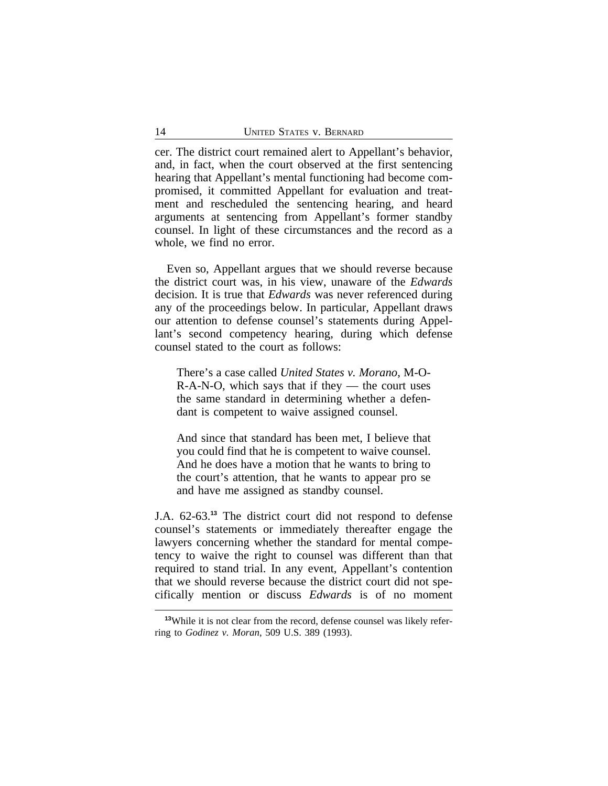cer. The district court remained alert to Appellant's behavior, and, in fact, when the court observed at the first sentencing hearing that Appellant's mental functioning had become compromised, it committed Appellant for evaluation and treatment and rescheduled the sentencing hearing, and heard arguments at sentencing from Appellant's former standby counsel. In light of these circumstances and the record as a whole, we find no error.

Even so, Appellant argues that we should reverse because the district court was, in his view, unaware of the *Edwards* decision. It is true that *Edwards* was never referenced during any of the proceedings below. In particular, Appellant draws our attention to defense counsel's statements during Appellant's second competency hearing, during which defense counsel stated to the court as follows:

There's a case called *United States v. Morano*, M-O- $R-A-N-O$ , which says that if they — the court uses the same standard in determining whether a defendant is competent to waive assigned counsel.

And since that standard has been met, I believe that you could find that he is competent to waive counsel. And he does have a motion that he wants to bring to the court's attention, that he wants to appear pro se and have me assigned as standby counsel.

J.A. 62-63.**<sup>13</sup>** The district court did not respond to defense counsel's statements or immediately thereafter engage the lawyers concerning whether the standard for mental competency to waive the right to counsel was different than that required to stand trial. In any event, Appellant's contention that we should reverse because the district court did not specifically mention or discuss *Edwards* is of no moment

**<sup>13</sup>**While it is not clear from the record, defense counsel was likely referring to *Godinez v. Moran*, 509 U.S. 389 (1993).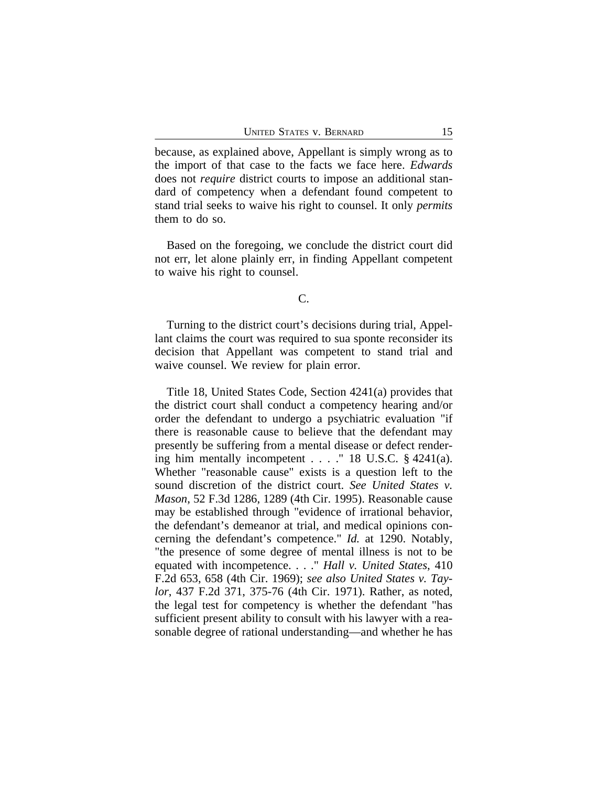because, as explained above, Appellant is simply wrong as to the import of that case to the facts we face here. *Edwards* does not *require* district courts to impose an additional standard of competency when a defendant found competent to stand trial seeks to waive his right to counsel. It only *permits* them to do so.

Based on the foregoing, we conclude the district court did not err, let alone plainly err, in finding Appellant competent to waive his right to counsel.

#### C.

Turning to the district court's decisions during trial, Appellant claims the court was required to sua sponte reconsider its decision that Appellant was competent to stand trial and waive counsel. We review for plain error.

Title 18, United States Code, Section 4241(a) provides that the district court shall conduct a competency hearing and/or order the defendant to undergo a psychiatric evaluation "if there is reasonable cause to believe that the defendant may presently be suffering from a mental disease or defect rendering him mentally incompetent . . . ." 18 U.S.C. § 4241(a). Whether "reasonable cause" exists is a question left to the sound discretion of the district court. *See United States v. Mason*, 52 F.3d 1286, 1289 (4th Cir. 1995). Reasonable cause may be established through "evidence of irrational behavior, the defendant's demeanor at trial, and medical opinions concerning the defendant's competence." *Id.* at 1290. Notably, "the presence of some degree of mental illness is not to be equated with incompetence. . . ." *Hall v. United States*, 410 F.2d 653, 658 (4th Cir. 1969); *see also United States v. Taylor*, 437 F.2d 371, 375-76 (4th Cir. 1971). Rather, as noted, the legal test for competency is whether the defendant "has sufficient present ability to consult with his lawyer with a reasonable degree of rational understanding—and whether he has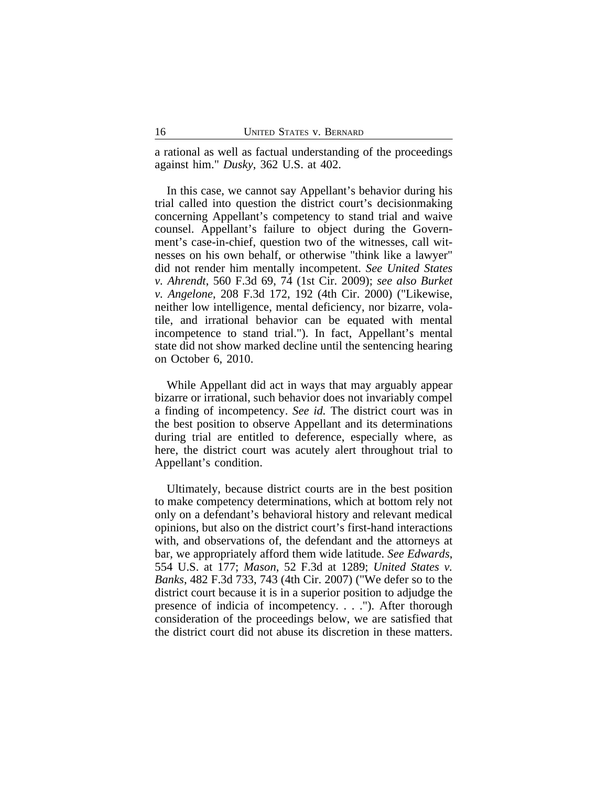a rational as well as factual understanding of the proceedings against him." *Dusky*, 362 U.S. at 402.

In this case, we cannot say Appellant's behavior during his trial called into question the district court's decisionmaking concerning Appellant's competency to stand trial and waive counsel. Appellant's failure to object during the Government's case-in-chief, question two of the witnesses, call witnesses on his own behalf, or otherwise "think like a lawyer" did not render him mentally incompetent. *See United States v. Ahrendt*, 560 F.3d 69, 74 (1st Cir. 2009); *see also Burket v. Angelone*, 208 F.3d 172, 192 (4th Cir. 2000) ("Likewise, neither low intelligence, mental deficiency, nor bizarre, volatile, and irrational behavior can be equated with mental incompetence to stand trial."). In fact, Appellant's mental state did not show marked decline until the sentencing hearing on October 6, 2010.

While Appellant did act in ways that may arguably appear bizarre or irrational, such behavior does not invariably compel a finding of incompetency. *See id.* The district court was in the best position to observe Appellant and its determinations during trial are entitled to deference, especially where, as here, the district court was acutely alert throughout trial to Appellant's condition.

Ultimately, because district courts are in the best position to make competency determinations, which at bottom rely not only on a defendant's behavioral history and relevant medical opinions, but also on the district court's first-hand interactions with, and observations of, the defendant and the attorneys at bar, we appropriately afford them wide latitude. *See Edwards*, 554 U.S. at 177; *Mason*, 52 F.3d at 1289; *United States v. Banks*, 482 F.3d 733, 743 (4th Cir. 2007) ("We defer so to the district court because it is in a superior position to adjudge the presence of indicia of incompetency. . . ."). After thorough consideration of the proceedings below, we are satisfied that the district court did not abuse its discretion in these matters.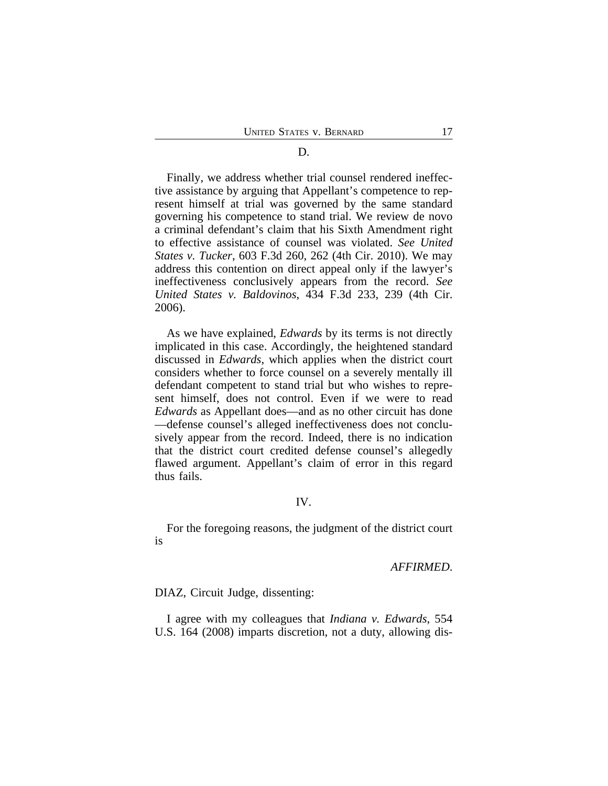# D.

Finally, we address whether trial counsel rendered ineffective assistance by arguing that Appellant's competence to represent himself at trial was governed by the same standard governing his competence to stand trial. We review de novo a criminal defendant's claim that his Sixth Amendment right to effective assistance of counsel was violated. *See United States v. Tucker*, 603 F.3d 260, 262 (4th Cir. 2010). We may address this contention on direct appeal only if the lawyer's ineffectiveness conclusively appears from the record. *See United States v. Baldovinos*, 434 F.3d 233, 239 (4th Cir. 2006).

As we have explained, *Edwards* by its terms is not directly implicated in this case. Accordingly, the heightened standard discussed in *Edwards*, which applies when the district court considers whether to force counsel on a severely mentally ill defendant competent to stand trial but who wishes to represent himself, does not control. Even if we were to read *Edwards* as Appellant does—and as no other circuit has done —defense counsel's alleged ineffectiveness does not conclusively appear from the record. Indeed, there is no indication that the district court credited defense counsel's allegedly flawed argument. Appellant's claim of error in this regard thus fails.

# IV.

For the foregoing reasons, the judgment of the district court is

#### *AFFIRMED*.

DIAZ, Circuit Judge, dissenting:

I agree with my colleagues that *Indiana v. Edwards*, 554 U.S. 164 (2008) imparts discretion, not a duty, allowing dis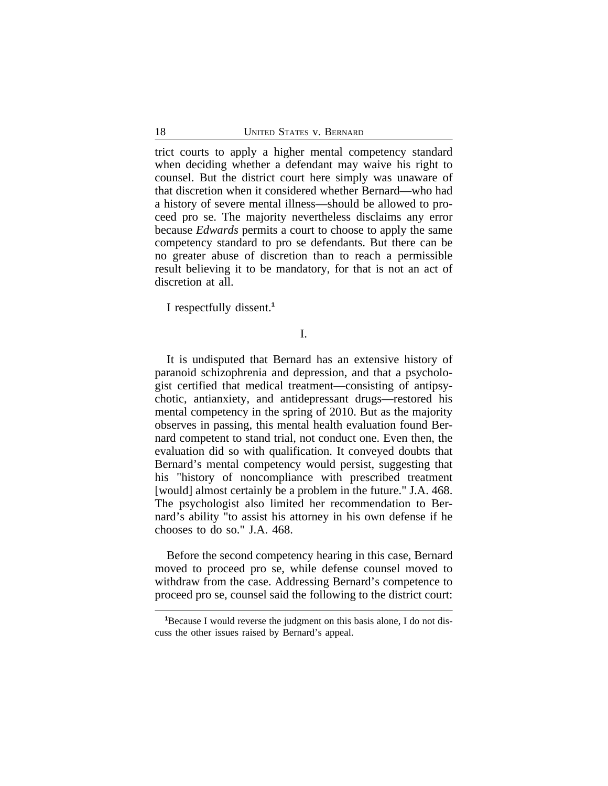trict courts to apply a higher mental competency standard when deciding whether a defendant may waive his right to counsel. But the district court here simply was unaware of that discretion when it considered whether Bernard—who had a history of severe mental illness—should be allowed to proceed pro se. The majority nevertheless disclaims any error because *Edwards* permits a court to choose to apply the same competency standard to pro se defendants. But there can be no greater abuse of discretion than to reach a permissible result believing it to be mandatory, for that is not an act of discretion at all.

I respectfully dissent.**<sup>1</sup>**

I.

It is undisputed that Bernard has an extensive history of paranoid schizophrenia and depression, and that a psychologist certified that medical treatment—consisting of antipsychotic, antianxiety, and antidepressant drugs—restored his mental competency in the spring of 2010. But as the majority observes in passing, this mental health evaluation found Bernard competent to stand trial, not conduct one. Even then, the evaluation did so with qualification. It conveyed doubts that Bernard's mental competency would persist, suggesting that his "history of noncompliance with prescribed treatment [would] almost certainly be a problem in the future." J.A. 468. The psychologist also limited her recommendation to Bernard's ability "to assist his attorney in his own defense if he chooses to do so." J.A. 468.

Before the second competency hearing in this case, Bernard moved to proceed pro se, while defense counsel moved to withdraw from the case. Addressing Bernard's competence to proceed pro se, counsel said the following to the district court:

**<sup>1</sup>**Because I would reverse the judgment on this basis alone, I do not discuss the other issues raised by Bernard's appeal.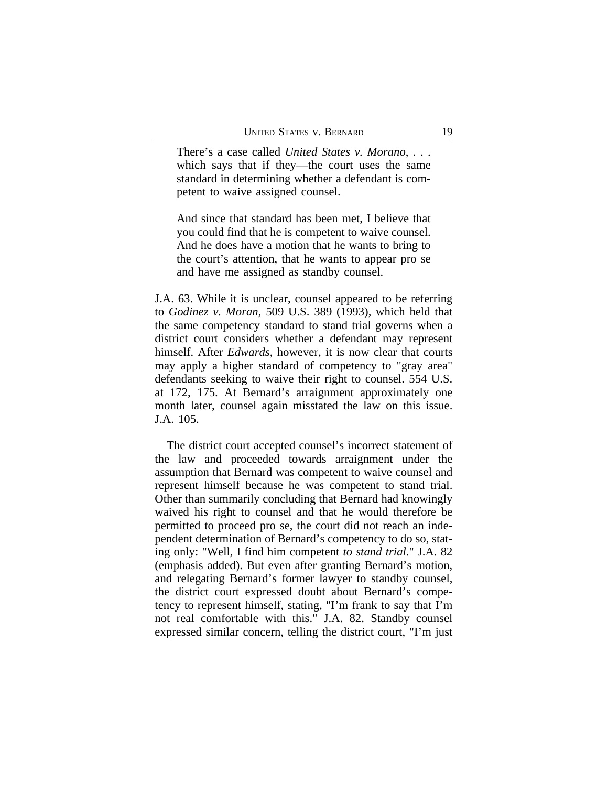There's a case called *United States v. Morano*, . . . which says that if they—the court uses the same standard in determining whether a defendant is competent to waive assigned counsel.

And since that standard has been met, I believe that you could find that he is competent to waive counsel. And he does have a motion that he wants to bring to the court's attention, that he wants to appear pro se and have me assigned as standby counsel.

J.A. 63. While it is unclear, counsel appeared to be referring to *Godinez v. Moran*, 509 U.S. 389 (1993), which held that the same competency standard to stand trial governs when a district court considers whether a defendant may represent himself. After *Edwards*, however, it is now clear that courts may apply a higher standard of competency to "gray area" defendants seeking to waive their right to counsel. 554 U.S. at 172, 175. At Bernard's arraignment approximately one month later, counsel again misstated the law on this issue. J.A. 105.

The district court accepted counsel's incorrect statement of the law and proceeded towards arraignment under the assumption that Bernard was competent to waive counsel and represent himself because he was competent to stand trial. Other than summarily concluding that Bernard had knowingly waived his right to counsel and that he would therefore be permitted to proceed pro se, the court did not reach an independent determination of Bernard's competency to do so, stating only: "Well, I find him competent *to stand trial*." J.A. 82 (emphasis added). But even after granting Bernard's motion, and relegating Bernard's former lawyer to standby counsel, the district court expressed doubt about Bernard's competency to represent himself, stating, "I'm frank to say that I'm not real comfortable with this." J.A. 82. Standby counsel expressed similar concern, telling the district court, "I'm just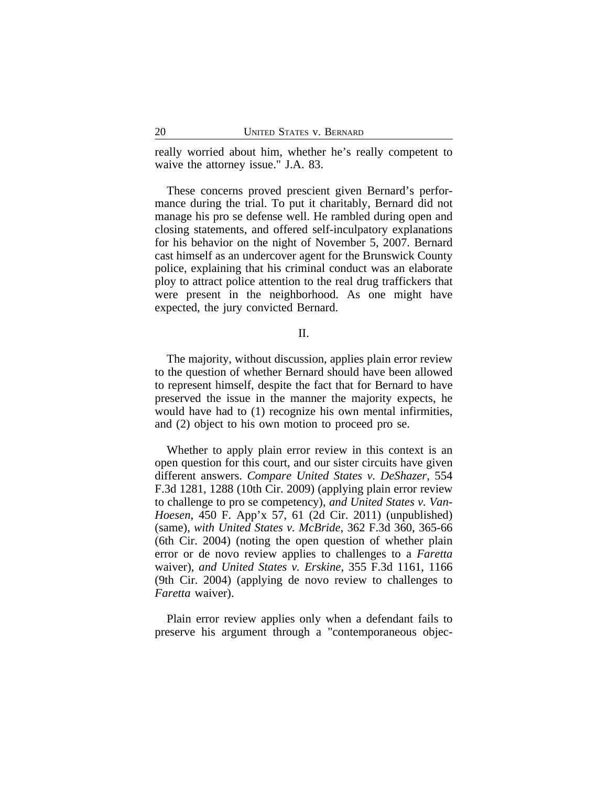really worried about him, whether he's really competent to waive the attorney issue." J.A. 83.

These concerns proved prescient given Bernard's performance during the trial. To put it charitably, Bernard did not manage his pro se defense well. He rambled during open and closing statements, and offered self-inculpatory explanations for his behavior on the night of November 5, 2007. Bernard cast himself as an undercover agent for the Brunswick County police, explaining that his criminal conduct was an elaborate ploy to attract police attention to the real drug traffickers that were present in the neighborhood. As one might have expected, the jury convicted Bernard.

#### II.

The majority, without discussion, applies plain error review to the question of whether Bernard should have been allowed to represent himself, despite the fact that for Bernard to have preserved the issue in the manner the majority expects, he would have had to (1) recognize his own mental infirmities, and (2) object to his own motion to proceed pro se.

Whether to apply plain error review in this context is an open question for this court, and our sister circuits have given different answers. *Compare United States v. DeShazer*, 554 F.3d 1281, 1288 (10th Cir. 2009) (applying plain error review to challenge to pro se competency), *and United States v. Van-Hoesen*, 450 F. App'x 57, 61 (2d Cir. 2011) (unpublished) (same), *with United States v. McBride*, 362 F.3d 360, 365-66 (6th Cir. 2004) (noting the open question of whether plain error or de novo review applies to challenges to a *Faretta* waiver), *and United States v. Erskine*, 355 F.3d 1161, 1166 (9th Cir. 2004) (applying de novo review to challenges to *Faretta* waiver).

Plain error review applies only when a defendant fails to preserve his argument through a "contemporaneous objec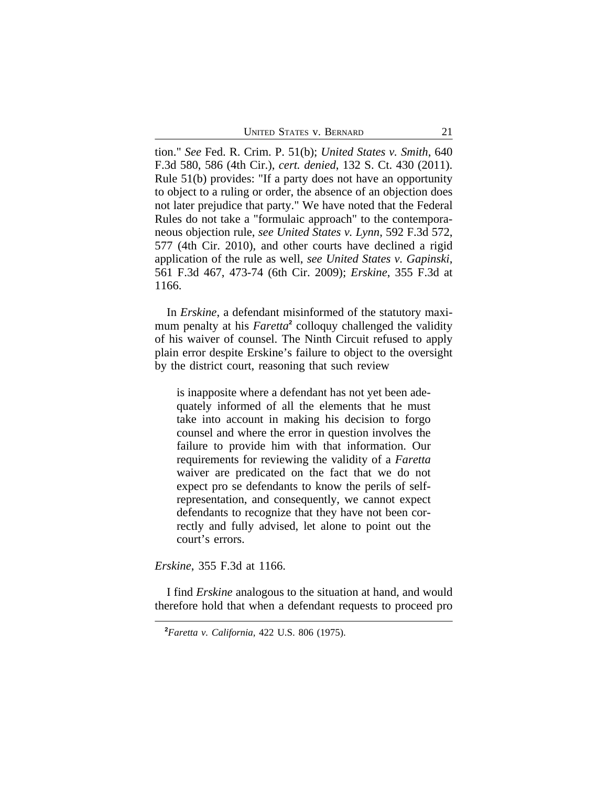UNITED STATES V. BERNARD 21

tion." *See* Fed. R. Crim. P. 51(b); *United States v. Smith*, 640 F.3d 580, 586 (4th Cir.), *cert. denied*, 132 S. Ct. 430 (2011). Rule 51(b) provides: "If a party does not have an opportunity to object to a ruling or order, the absence of an objection does not later prejudice that party." We have noted that the Federal Rules do not take a "formulaic approach" to the contemporaneous objection rule, *see United States v. Lynn*, 592 F.3d 572, 577 (4th Cir. 2010), and other courts have declined a rigid application of the rule as well, *see United States v. Gapinski*, 561 F.3d 467, 473-74 (6th Cir. 2009); *Erskine*, 355 F.3d at 1166.

In *Erskine*, a defendant misinformed of the statutory maximum penalty at his *Faretta***<sup>2</sup>** colloquy challenged the validity of his waiver of counsel. The Ninth Circuit refused to apply plain error despite Erskine's failure to object to the oversight by the district court, reasoning that such review

is inapposite where a defendant has not yet been adequately informed of all the elements that he must take into account in making his decision to forgo counsel and where the error in question involves the failure to provide him with that information. Our requirements for reviewing the validity of a *Faretta* waiver are predicated on the fact that we do not expect pro se defendants to know the perils of selfrepresentation, and consequently, we cannot expect defendants to recognize that they have not been correctly and fully advised, let alone to point out the court's errors.

*Erskine*, 355 F.3d at 1166.

I find *Erskine* analogous to the situation at hand, and would therefore hold that when a defendant requests to proceed pro

**<sup>2</sup>***Faretta v. California*, 422 U.S. 806 (1975).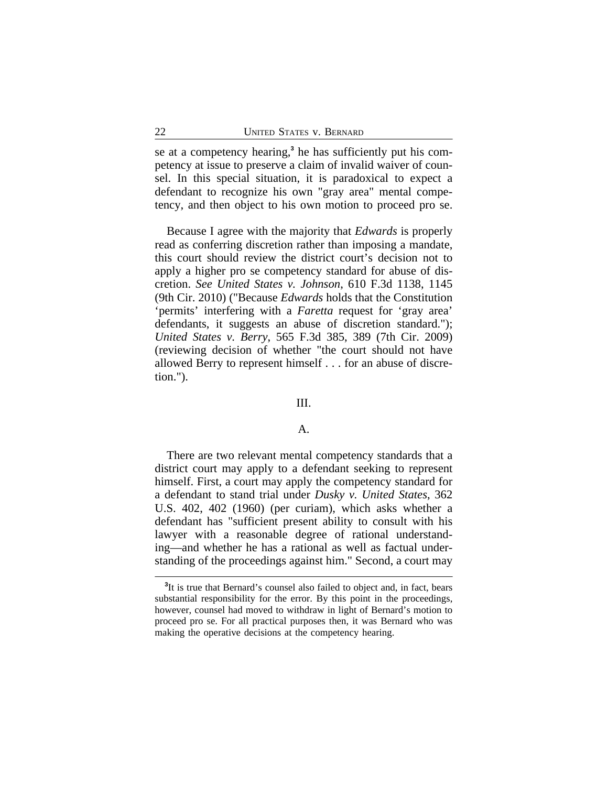se at a competency hearing,<sup>3</sup> he has sufficiently put his competency at issue to preserve a claim of invalid waiver of counsel. In this special situation, it is paradoxical to expect a defendant to recognize his own "gray area" mental competency, and then object to his own motion to proceed pro se.

Because I agree with the majority that *Edwards* is properly read as conferring discretion rather than imposing a mandate, this court should review the district court's decision not to apply a higher pro se competency standard for abuse of discretion. *See United States v. Johnson*, 610 F.3d 1138, 1145 (9th Cir. 2010) ("Because *Edwards* holds that the Constitution 'permits' interfering with a *Faretta* request for 'gray area' defendants, it suggests an abuse of discretion standard."); *United States v. Berry*, 565 F.3d 385, 389 (7th Cir. 2009) (reviewing decision of whether "the court should not have allowed Berry to represent himself . . . for an abuse of discretion.").

### III.

#### A.

There are two relevant mental competency standards that a district court may apply to a defendant seeking to represent himself. First, a court may apply the competency standard for a defendant to stand trial under *Dusky v. United States*, 362 U.S. 402, 402 (1960) (per curiam), which asks whether a defendant has "sufficient present ability to consult with his lawyer with a reasonable degree of rational understanding—and whether he has a rational as well as factual understanding of the proceedings against him." Second, a court may

<sup>&</sup>lt;sup>3</sup>It is true that Bernard's counsel also failed to object and, in fact, bears substantial responsibility for the error. By this point in the proceedings, however, counsel had moved to withdraw in light of Bernard's motion to proceed pro se. For all practical purposes then, it was Bernard who was making the operative decisions at the competency hearing.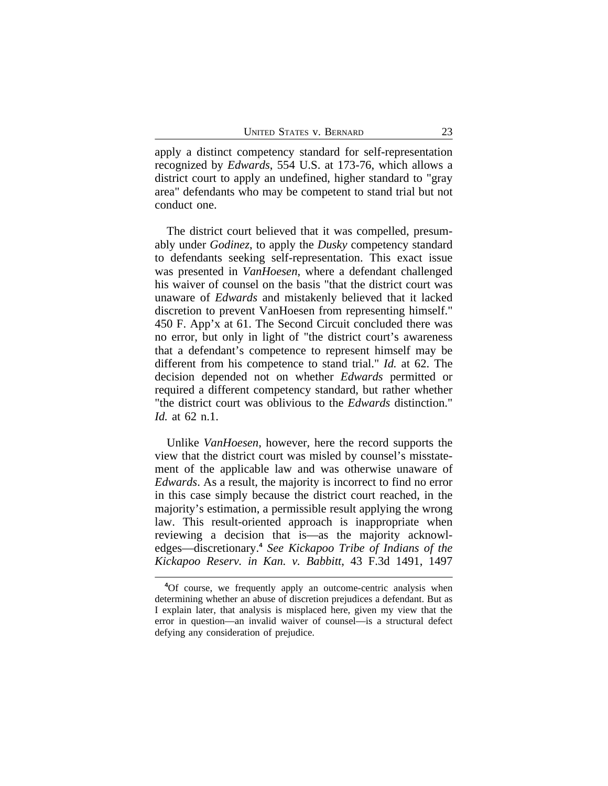apply a distinct competency standard for self-representation recognized by *Edwards*, 554 U.S. at 173-76, which allows a district court to apply an undefined, higher standard to "gray area" defendants who may be competent to stand trial but not conduct one.

The district court believed that it was compelled, presumably under *Godinez*, to apply the *Dusky* competency standard to defendants seeking self-representation. This exact issue was presented in *VanHoesen*, where a defendant challenged his waiver of counsel on the basis "that the district court was unaware of *Edwards* and mistakenly believed that it lacked discretion to prevent VanHoesen from representing himself." 450 F. App'x at 61. The Second Circuit concluded there was no error, but only in light of "the district court's awareness that a defendant's competence to represent himself may be different from his competence to stand trial." *Id.* at 62. The decision depended not on whether *Edwards* permitted or required a different competency standard, but rather whether "the district court was oblivious to the *Edwards* distinction." *Id.* at 62 n.1.

Unlike *VanHoesen*, however, here the record supports the view that the district court was misled by counsel's misstatement of the applicable law and was otherwise unaware of *Edwards*. As a result, the majority is incorrect to find no error in this case simply because the district court reached, in the majority's estimation, a permissible result applying the wrong law. This result-oriented approach is inappropriate when reviewing a decision that is—as the majority acknowledges—discretionary.**<sup>4</sup>** *See Kickapoo Tribe of Indians of the Kickapoo Reserv. in Kan. v. Babbitt*, 43 F.3d 1491, 1497

**<sup>4</sup>**Of course, we frequently apply an outcome-centric analysis when determining whether an abuse of discretion prejudices a defendant. But as I explain later, that analysis is misplaced here, given my view that the error in question—an invalid waiver of counsel—is a structural defect defying any consideration of prejudice.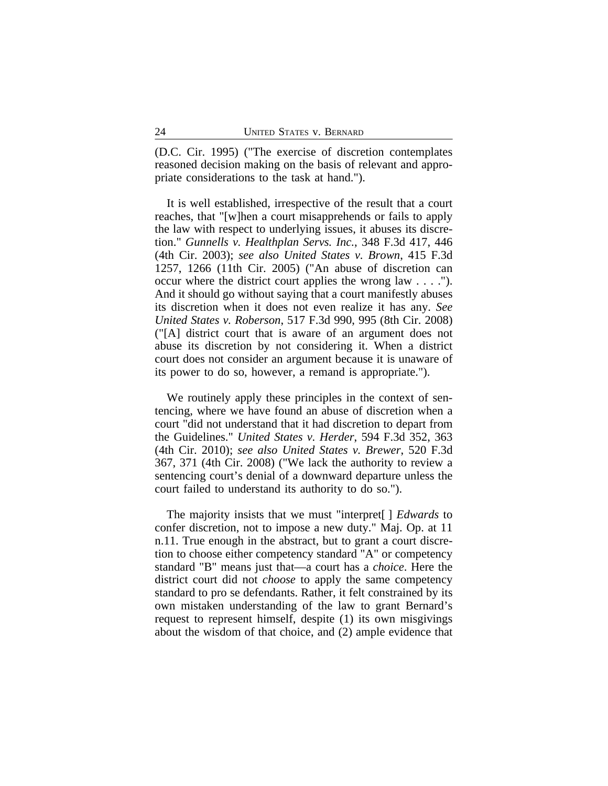(D.C. Cir. 1995) ("The exercise of discretion contemplates reasoned decision making on the basis of relevant and appropriate considerations to the task at hand.").

It is well established, irrespective of the result that a court reaches, that "[w]hen a court misapprehends or fails to apply the law with respect to underlying issues, it abuses its discretion." *Gunnells v. Healthplan Servs. Inc.*, 348 F.3d 417, 446 (4th Cir. 2003); *see also United States v. Brown*, 415 F.3d 1257, 1266 (11th Cir. 2005) ("An abuse of discretion can occur where the district court applies the wrong law . . . ."). And it should go without saying that a court manifestly abuses its discretion when it does not even realize it has any. *See United States v. Roberson*, 517 F.3d 990, 995 (8th Cir. 2008) ("[A] district court that is aware of an argument does not abuse its discretion by not considering it. When a district court does not consider an argument because it is unaware of its power to do so, however, a remand is appropriate.").

We routinely apply these principles in the context of sentencing, where we have found an abuse of discretion when a court "did not understand that it had discretion to depart from the Guidelines." *United States v. Herder*, 594 F.3d 352, 363 (4th Cir. 2010); *see also United States v. Brewer*, 520 F.3d 367, 371 (4th Cir. 2008) ("We lack the authority to review a sentencing court's denial of a downward departure unless the court failed to understand its authority to do so.").

The majority insists that we must "interpret[ ] *Edwards* to confer discretion, not to impose a new duty." Maj. Op. at 11 n.11. True enough in the abstract, but to grant a court discretion to choose either competency standard "A" or competency standard "B" means just that—a court has a *choice*. Here the district court did not *choose* to apply the same competency standard to pro se defendants. Rather, it felt constrained by its own mistaken understanding of the law to grant Bernard's request to represent himself, despite (1) its own misgivings about the wisdom of that choice, and (2) ample evidence that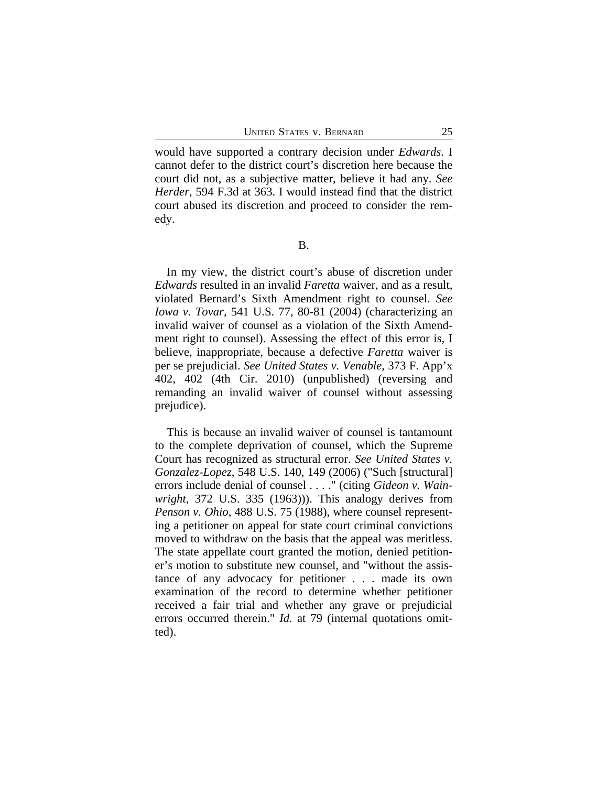would have supported a contrary decision under *Edwards*. I cannot defer to the district court's discretion here because the court did not, as a subjective matter, believe it had any. *See Herder*, 594 F.3d at 363. I would instead find that the district court abused its discretion and proceed to consider the remedy.

B.

In my view, the district court's abuse of discretion under *Edwards* resulted in an invalid *Faretta* waiver, and as a result, violated Bernard's Sixth Amendment right to counsel. *See Iowa v. Tovar*, 541 U.S. 77, 80-81 (2004) (characterizing an invalid waiver of counsel as a violation of the Sixth Amendment right to counsel). Assessing the effect of this error is, I believe, inappropriate, because a defective *Faretta* waiver is per se prejudicial. *See United States v. Venable*, 373 F. App'x 402, 402 (4th Cir. 2010) (unpublished) (reversing and remanding an invalid waiver of counsel without assessing prejudice).

This is because an invalid waiver of counsel is tantamount to the complete deprivation of counsel, which the Supreme Court has recognized as structural error. *See United States v. Gonzalez-Lopez*, 548 U.S. 140, 149 (2006) ("Such [structural] errors include denial of counsel . . . ." (citing *Gideon v. Wainwright*, 372 U.S. 335 (1963))). This analogy derives from *Penson v. Ohio*, 488 U.S. 75 (1988), where counsel representing a petitioner on appeal for state court criminal convictions moved to withdraw on the basis that the appeal was meritless. The state appellate court granted the motion, denied petitioner's motion to substitute new counsel, and "without the assistance of any advocacy for petitioner . . . made its own examination of the record to determine whether petitioner received a fair trial and whether any grave or prejudicial errors occurred therein." *Id.* at 79 (internal quotations omitted).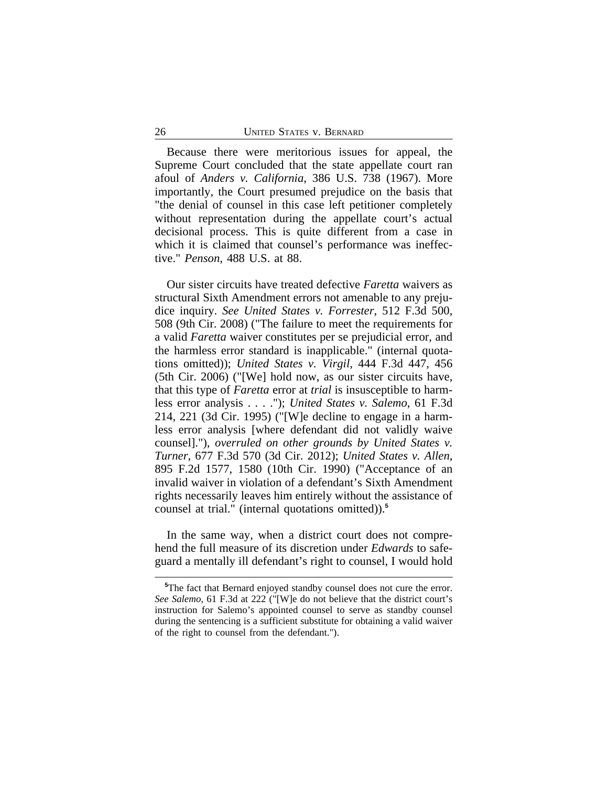Because there were meritorious issues for appeal, the Supreme Court concluded that the state appellate court ran afoul of *Anders v. California*, 386 U.S. 738 (1967). More importantly, the Court presumed prejudice on the basis that "the denial of counsel in this case left petitioner completely without representation during the appellate court's actual decisional process. This is quite different from a case in which it is claimed that counsel's performance was ineffective." *Penson*, 488 U.S. at 88.

Our sister circuits have treated defective *Faretta* waivers as structural Sixth Amendment errors not amenable to any prejudice inquiry. *See United States v. Forrester*, 512 F.3d 500, 508 (9th Cir. 2008) ("The failure to meet the requirements for a valid *Faretta* waiver constitutes per se prejudicial error, and the harmless error standard is inapplicable." (internal quotations omitted)); *United States v. Virgil*, 444 F.3d 447, 456 (5th Cir. 2006) ("[We] hold now, as our sister circuits have, that this type of *Faretta* error at *trial* is insusceptible to harmless error analysis . . . ."); *United States v. Salemo*, 61 F.3d 214, 221 (3d Cir. 1995) ("[W]e decline to engage in a harmless error analysis [where defendant did not validly waive counsel]."), *overruled on other grounds by United States v. Turner*, 677 F.3d 570 (3d Cir. 2012); *United States v. Allen*, 895 F.2d 1577, 1580 (10th Cir. 1990) ("Acceptance of an invalid waiver in violation of a defendant's Sixth Amendment rights necessarily leaves him entirely without the assistance of counsel at trial." (internal quotations omitted)).**<sup>5</sup>**

In the same way, when a district court does not comprehend the full measure of its discretion under *Edwards* to safeguard a mentally ill defendant's right to counsel, I would hold

**<sup>5</sup>**The fact that Bernard enjoyed standby counsel does not cure the error. *See Salemo*, 61 F.3d at 222 ("[W]e do not believe that the district court's instruction for Salemo's appointed counsel to serve as standby counsel during the sentencing is a sufficient substitute for obtaining a valid waiver of the right to counsel from the defendant.").